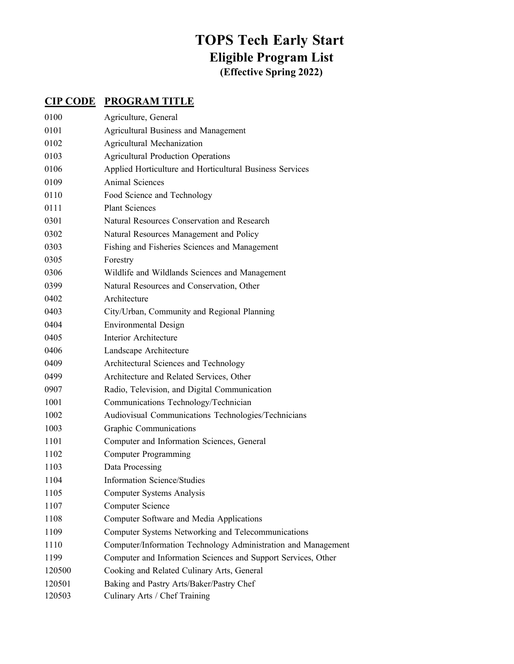## **TOPS Tech Early Start Eligible Program List (Effective Spring 2022)**

## **CIP CODE PROGRAM TITLE**

| 0100   | Agriculture, General                                          |
|--------|---------------------------------------------------------------|
| 0101   | Agricultural Business and Management                          |
| 0102   | Agricultural Mechanization                                    |
| 0103   | <b>Agricultural Production Operations</b>                     |
| 0106   | Applied Horticulture and Horticultural Business Services      |
| 0109   | <b>Animal Sciences</b>                                        |
| 0110   | Food Science and Technology                                   |
| 0111   | <b>Plant Sciences</b>                                         |
| 0301   | Natural Resources Conservation and Research                   |
| 0302   | Natural Resources Management and Policy                       |
| 0303   | Fishing and Fisheries Sciences and Management                 |
| 0305   | Forestry                                                      |
| 0306   | Wildlife and Wildlands Sciences and Management                |
| 0399   | Natural Resources and Conservation, Other                     |
| 0402   | Architecture                                                  |
| 0403   | City/Urban, Community and Regional Planning                   |
| 0404   | <b>Environmental Design</b>                                   |
| 0405   | Interior Architecture                                         |
| 0406   | Landscape Architecture                                        |
| 0409   | Architectural Sciences and Technology                         |
| 0499   | Architecture and Related Services, Other                      |
| 0907   | Radio, Television, and Digital Communication                  |
| 1001   | Communications Technology/Technician                          |
| 1002   | Audiovisual Communications Technologies/Technicians           |
| 1003   | Graphic Communications                                        |
| 1101   | Computer and Information Sciences, General                    |
| 1102   | <b>Computer Programming</b>                                   |
| 1103   | Data Processing                                               |
| 1104   | <b>Information Science/Studies</b>                            |
| 1105   | <b>Computer Systems Analysis</b>                              |
| 1107   | Computer Science                                              |
| 1108   | Computer Software and Media Applications                      |
| 1109   | Computer Systems Networking and Telecommunications            |
| 1110   | Computer/Information Technology Administration and Management |
| 1199   | Computer and Information Sciences and Support Services, Other |
| 120500 | Cooking and Related Culinary Arts, General                    |
| 120501 | Baking and Pastry Arts/Baker/Pastry Chef                      |
| 120503 | Culinary Arts / Chef Training                                 |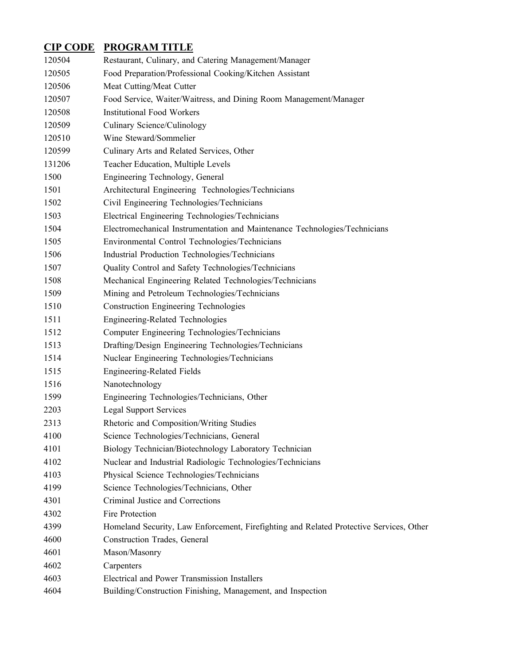## **CIP CODE PROGRAM TITLE**

| 120504 | Restaurant, Culinary, and Catering Management/Manager                                   |
|--------|-----------------------------------------------------------------------------------------|
| 120505 | Food Preparation/Professional Cooking/Kitchen Assistant                                 |
| 120506 | Meat Cutting/Meat Cutter                                                                |
| 120507 | Food Service, Waiter/Waitress, and Dining Room Management/Manager                       |
| 120508 | <b>Institutional Food Workers</b>                                                       |
| 120509 | Culinary Science/Culinology                                                             |
| 120510 | Wine Steward/Sommelier                                                                  |
| 120599 | Culinary Arts and Related Services, Other                                               |
| 131206 | Teacher Education, Multiple Levels                                                      |
| 1500   | Engineering Technology, General                                                         |
| 1501   | Architectural Engineering Technologies/Technicians                                      |
| 1502   | Civil Engineering Technologies/Technicians                                              |
| 1503   | Electrical Engineering Technologies/Technicians                                         |
| 1504   | Electromechanical Instrumentation and Maintenance Technologies/Technicians              |
| 1505   | Environmental Control Technologies/Technicians                                          |
| 1506   | Industrial Production Technologies/Technicians                                          |
| 1507   | Quality Control and Safety Technologies/Technicians                                     |
| 1508   | Mechanical Engineering Related Technologies/Technicians                                 |
| 1509   | Mining and Petroleum Technologies/Technicians                                           |
| 1510   | <b>Construction Engineering Technologies</b>                                            |
| 1511   | <b>Engineering-Related Technologies</b>                                                 |
| 1512   | Computer Engineering Technologies/Technicians                                           |
| 1513   | Drafting/Design Engineering Technologies/Technicians                                    |
| 1514   | Nuclear Engineering Technologies/Technicians                                            |
| 1515   | <b>Engineering-Related Fields</b>                                                       |
| 1516   | Nanotechnology                                                                          |
| 1599   | Engineering Technologies/Technicians, Other                                             |
| 2203   | <b>Legal Support Services</b>                                                           |
| 2313   | Rhetoric and Composition/Writing Studies                                                |
| 4100   | Science Technologies/Technicians, General                                               |
| 4101   | Biology Technician/Biotechnology Laboratory Technician                                  |
| 4102   | Nuclear and Industrial Radiologic Technologies/Technicians                              |
| 4103   | Physical Science Technologies/Technicians                                               |
| 4199   | Science Technologies/Technicians, Other                                                 |
| 4301   | Criminal Justice and Corrections                                                        |
| 4302   | Fire Protection                                                                         |
| 4399   | Homeland Security, Law Enforcement, Firefighting and Related Protective Services, Other |
| 4600   | Construction Trades, General                                                            |
| 4601   | Mason/Masonry                                                                           |
| 4602   | Carpenters                                                                              |
| 4603   | Electrical and Power Transmission Installers                                            |
| 4604   | Building/Construction Finishing, Management, and Inspection                             |